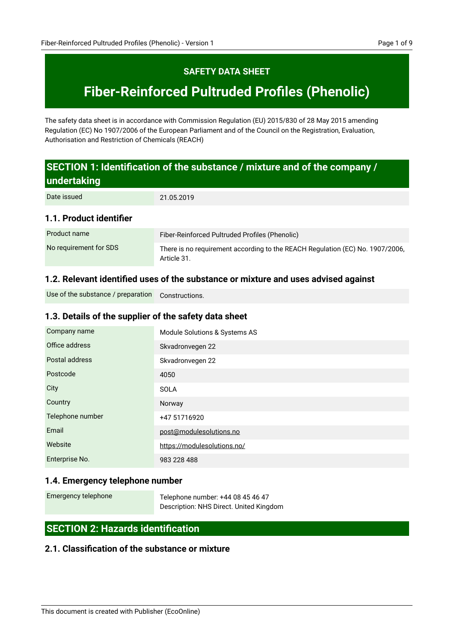# **SAFETY DATA SHEET**

# **Fiber-Reinforced Pultruded Profiles (Phenolic)**

The safety data sheet is in accordance with Commission Regulation (EU) 2015/830 of 28 May 2015 amending Regulation (EC) No 1907/2006 of the European Parliament and of the Council on the Registration, Evaluation, Authorisation and Restriction of Chemicals (REACH)

# **SECTION 1: Identification of the substance / mixture and of the company / undertaking**

21.05.2019 Date issued

### **1.1. Product identifier**

| Product name           | Fiber-Reinforced Pultruded Profiles (Phenolic)                                               |
|------------------------|----------------------------------------------------------------------------------------------|
| No requirement for SDS | There is no requirement according to the REACH Regulation (EC) No. 1907/2006,<br>Article 31. |

### **1.2. Relevant identified uses of the substance or mixture and uses advised against**

Constructions. Use of the substance / preparation

# **1.3. Details of the supplier of the safety data sheet**

| Company name     | Module Solutions & Systems AS |
|------------------|-------------------------------|
| Office address   | Skvadronvegen 22              |
| Postal address   | Skvadronvegen 22              |
| Postcode         | 4050                          |
| City             | <b>SOLA</b>                   |
| Country          | Norway                        |
| Telephone number | +47 51716920                  |
| Email            | post@modulesolutions.no       |
| Website          | https://modulesolutions.no/   |
| Enterprise No.   | 983 228 488                   |

# **1.4. Emergency telephone number**

Emergency telephone

Telephone number: +44 08 45 46 47 Description: NHS Direct. United Kingdom

# **SECTION 2: Hazards identification**

# **2.1. Classification of the substance or mixture**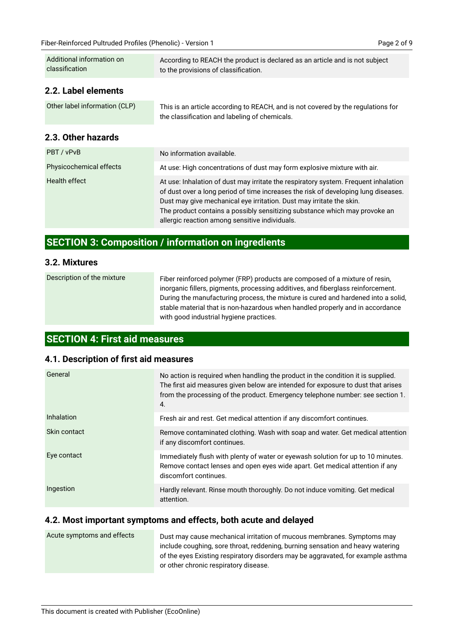| Additional information on<br>classification | According to REACH the product is declared as an article and is not subject<br>to the provisions of classification.                                                                                                                                                                                                                                                               |
|---------------------------------------------|-----------------------------------------------------------------------------------------------------------------------------------------------------------------------------------------------------------------------------------------------------------------------------------------------------------------------------------------------------------------------------------|
| 2.2. Label elements                         |                                                                                                                                                                                                                                                                                                                                                                                   |
| Other label information (CLP)               | This is an article according to REACH, and is not covered by the regulations for<br>the classification and labeling of chemicals.                                                                                                                                                                                                                                                 |
| 2.3. Other hazards                          |                                                                                                                                                                                                                                                                                                                                                                                   |
| PBT / vPvB                                  | No information available.                                                                                                                                                                                                                                                                                                                                                         |
| Physicochemical effects                     | At use: High concentrations of dust may form explosive mixture with air.                                                                                                                                                                                                                                                                                                          |
| Health effect                               | At use: Inhalation of dust may irritate the respiratory system. Frequent inhalation<br>of dust over a long period of time increases the risk of developing lung diseases.<br>Dust may give mechanical eye irritation. Dust may irritate the skin.<br>The product contains a possibly sensitizing substance which may provoke an<br>allergic reaction among sensitive individuals. |
|                                             |                                                                                                                                                                                                                                                                                                                                                                                   |

# **SECTION 3: Composition / information on ingredients**

#### **3.2. Mixtures**

Fiber reinforced polymer (FRP) products are composed of a mixture of resin, inorganic fillers, pigments, processing additives, and fiberglass reinforcement. During the manufacturing process, the mixture is cured and hardened into a solid, stable material that is non-hazardous when handled properly and in accordance with good industrial hygiene practices. Description of the mixture

# **SECTION 4: First aid measures**

#### **4.1. Description of first aid measures**

| General      | No action is required when handling the product in the condition it is supplied.<br>The first aid measures given below are intended for exposure to dust that arises<br>from the processing of the product. Emergency telephone number: see section 1.<br>4. |
|--------------|--------------------------------------------------------------------------------------------------------------------------------------------------------------------------------------------------------------------------------------------------------------|
| Inhalation   | Fresh air and rest. Get medical attention if any discomfort continues.                                                                                                                                                                                       |
| Skin contact | Remove contaminated clothing. Wash with soap and water. Get medical attention<br>if any discomfort continues.                                                                                                                                                |
| Eye contact  | Immediately flush with plenty of water or eyewash solution for up to 10 minutes.<br>Remove contact lenses and open eyes wide apart. Get medical attention if any<br>discomfort continues.                                                                    |
| Ingestion    | Hardly relevant. Rinse mouth thoroughly. Do not induce vomiting. Get medical<br>attention.                                                                                                                                                                   |

#### **4.2. Most important symptoms and effects, both acute and delayed**

| Acute symptoms and effects | Dust may cause mechanical irritation of mucous membranes. Symptoms may           |
|----------------------------|----------------------------------------------------------------------------------|
|                            | include coughing, sore throat, reddening, burning sensation and heavy watering   |
|                            | of the eyes Existing respiratory disorders may be aggravated, for example asthma |
|                            | or other chronic respiratory disease.                                            |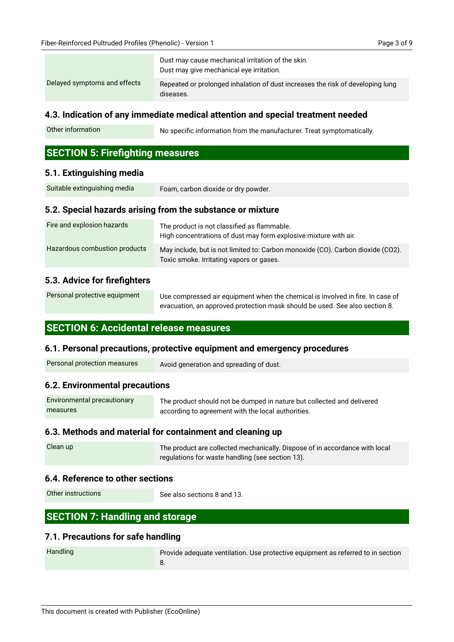|                              | Dust may cause mechanical irritation of the skin.<br>Dust may give mechanical eye irritation. |
|------------------------------|-----------------------------------------------------------------------------------------------|
| Delayed symptoms and effects | Repeated or prolonged inhalation of dust increases the risk of developing lung<br>diseases.   |

#### **4.3. Indication of any immediate medical attention and special treatment needed**

No specific information from the manufacturer. Treat symptomatically. Other information

# **SECTION 5: Firefighting measures**

#### **5.1. Extinguishing media**

| Suitable extinguishing media | Foam, carbon dioxide or dry powder.                        |  |
|------------------------------|------------------------------------------------------------|--|
|                              | 5.2. Special hazards arising from the substance or mixture |  |

| Fire and explosion hazards    | The product is not classified as flammable.<br>High concentrations of dust may form explosive mixture with air.             |
|-------------------------------|-----------------------------------------------------------------------------------------------------------------------------|
| Hazardous combustion products | May include, but is not limited to: Carbon monoxide (CO). Carbon dioxide (CO2).<br>Toxic smoke. Irritating vapors or gases. |

#### **5.3. Advice for firefighters**

| Personal protective equipment | Use compressed air equipment when the chemical is involved in fire. In case of |
|-------------------------------|--------------------------------------------------------------------------------|
|                               | evacuation, an approved protection mask should be used. See also section 8.    |

### **SECTION 6: Accidental release measures**

#### **6.1. Personal precautions, protective equipment and emergency procedures**

| Personal protection measures | Avoid generation and spreading of dust. |
|------------------------------|-----------------------------------------|
|------------------------------|-----------------------------------------|

#### **6.2. Environmental precautions**

| Environmental precautionary | The product should not be dumped in nature but collected and delivered |
|-----------------------------|------------------------------------------------------------------------|
| measures                    | according to agreement with the local authorities.                     |

# **6.3. Methods and material for containment and cleaning up**

| Clean up | The product are collected mechanically. Dispose of in accordance with local |
|----------|-----------------------------------------------------------------------------|
|          | regulations for waste handling (see section 13).                            |

#### **6.4. Reference to other sections**

Other instructions

See also sections 8 and 13.

# **SECTION 7: Handling and storage**

#### **7.1. Precautions for safe handling**

| <b>Handling</b> | Provide adequate ventilation. Use protective equipment as referred to in section |
|-----------------|----------------------------------------------------------------------------------|
|                 | о.                                                                               |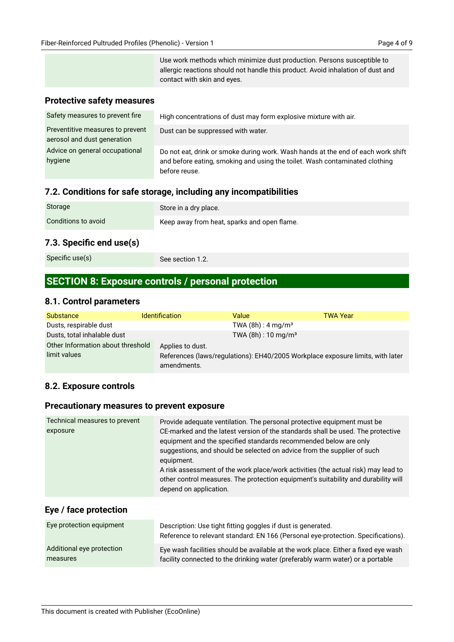# **Protective safety measures**

| Safety measures to prevent fire                                 | High concentrations of dust may form explosive mixture with air.                                                                                                                 |
|-----------------------------------------------------------------|----------------------------------------------------------------------------------------------------------------------------------------------------------------------------------|
| Preventitive measures to prevent<br>aerosol and dust generation | Dust can be suppressed with water.                                                                                                                                               |
| Advice on general occupational<br>hygiene                       | Do not eat, drink or smoke during work. Wash hands at the end of each work shift<br>and before eating, smoking and using the toilet. Wash contaminated clothing<br>before reuse. |

# **7.2. Conditions for safe storage, including any incompatibilities**

| <b>Storage</b>      | Store in a dry place.                       |
|---------------------|---------------------------------------------|
| Conditions to avoid | Keep away from heat, sparks and open flame. |
|                     |                                             |

### **7.3. Specific end use(s)**

|  | Specific use(s) |  |
|--|-----------------|--|
|  |                 |  |

See section 1.2.

# **SECTION 8: Exposure controls / personal protection**

#### **8.1. Control parameters**

| <b>Substance</b>                  | <b>Identification</b>                                                                         | Value                             | TWA Year |
|-----------------------------------|-----------------------------------------------------------------------------------------------|-----------------------------------|----------|
| Dusts, respirable dust            |                                                                                               | TWA $(8h)$ : 4 mg/m <sup>3</sup>  |          |
| Dusts, total inhalable dust       |                                                                                               | TWA $(8h)$ : 10 mg/m <sup>3</sup> |          |
| Other Information about threshold | Applies to dust.                                                                              |                                   |          |
| limit values                      | References (laws/regulations): EH40/2005 Workplace exposure limits, with later<br>amendments. |                                   |          |

# **8.2. Exposure controls**

# **Precautionary measures to prevent exposure**

| Technical measures to prevent<br>exposure | Provide adequate ventilation. The personal protective equipment must be<br>CE-marked and the latest version of the standards shall be used. The protective<br>equipment and the specified standards recommended below are only<br>suggestions, and should be selected on advice from the supplier of such<br>equipment.<br>A risk assessment of the work place/work activities (the actual risk) may lead to<br>other control measures. The protection equipment's suitability and durability will<br>depend on application. |
|-------------------------------------------|------------------------------------------------------------------------------------------------------------------------------------------------------------------------------------------------------------------------------------------------------------------------------------------------------------------------------------------------------------------------------------------------------------------------------------------------------------------------------------------------------------------------------|
|                                           |                                                                                                                                                                                                                                                                                                                                                                                                                                                                                                                              |

# **Eye / face protection**

| Eye protection equipment  | Description: Use tight fitting goggles if dust is generated.<br>Reference to relevant standard: EN 166 (Personal eye-protection. Specifications). |  |
|---------------------------|---------------------------------------------------------------------------------------------------------------------------------------------------|--|
| Additional eye protection | Eye wash facilities should be available at the work place. Either a fixed eye wash                                                                |  |
| measures                  | facility connected to the drinking water (preferably warm water) or a portable                                                                    |  |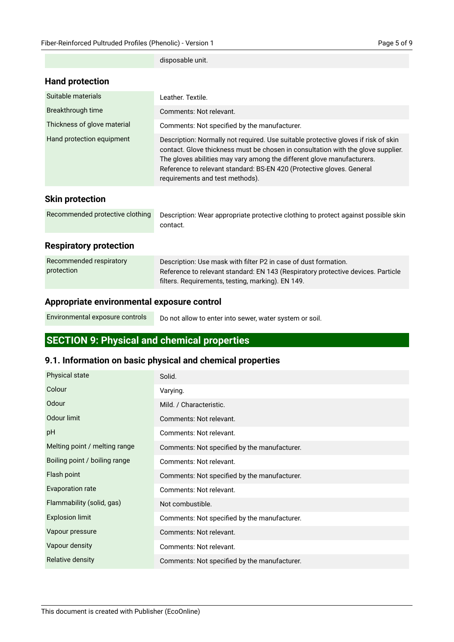|                             | disposable unit.                                                                                                                                                                                                                                                                                                                                             |
|-----------------------------|--------------------------------------------------------------------------------------------------------------------------------------------------------------------------------------------------------------------------------------------------------------------------------------------------------------------------------------------------------------|
| <b>Hand protection</b>      |                                                                                                                                                                                                                                                                                                                                                              |
| Suitable materials          | Leather, Textile.                                                                                                                                                                                                                                                                                                                                            |
| Breakthrough time           | Comments: Not relevant.                                                                                                                                                                                                                                                                                                                                      |
| Thickness of glove material | Comments: Not specified by the manufacturer.                                                                                                                                                                                                                                                                                                                 |
| Hand protection equipment   | Description: Normally not required. Use suitable protective gloves if risk of skin<br>contact. Glove thickness must be chosen in consultation with the glove supplier.<br>The gloves abilities may vary among the different glove manufacturers.<br>Reference to relevant standard: BS-EN 420 (Protective gloves. General<br>requirements and test methods). |
| <b>Skin protection</b>      |                                                                                                                                                                                                                                                                                                                                                              |

# **Skin pro**

| Recommended protective clothing Description: Wear appropriate protective clothing to protect against possible skin |  |
|--------------------------------------------------------------------------------------------------------------------|--|
| contact.                                                                                                           |  |

# **Respiratory protection**

| Recommended respiratory | Description: Use mask with filter P2 in case of dust formation.                  |
|-------------------------|----------------------------------------------------------------------------------|
| protection              | Reference to relevant standard: EN 143 (Respiratory protective devices. Particle |
|                         | filters. Requirements, testing, marking). EN 149.                                |

#### **Appropriate environmental exposure control**

| Environmental exposure controls | Do not allow to enter into sewer, water system or soil. |
|---------------------------------|---------------------------------------------------------|
|---------------------------------|---------------------------------------------------------|

# **SECTION 9: Physical and chemical properties**

# **9.1. Information on basic physical and chemical properties**

| <b>Physical state</b>         | Solid.                                       |
|-------------------------------|----------------------------------------------|
| Colour                        | Varying.                                     |
| Odour                         | Mild. / Characteristic.                      |
| Odour limit                   | Comments: Not relevant.                      |
| pH                            | Comments: Not relevant.                      |
| Melting point / melting range | Comments: Not specified by the manufacturer. |
| Boiling point / boiling range | Comments: Not relevant.                      |
| Flash point                   | Comments: Not specified by the manufacturer. |
| Evaporation rate              | Comments: Not relevant.                      |
| Flammability (solid, gas)     | Not combustible.                             |
| <b>Explosion limit</b>        | Comments: Not specified by the manufacturer. |
| Vapour pressure               | Comments: Not relevant.                      |
| Vapour density                | Comments: Not relevant.                      |
| Relative density              | Comments: Not specified by the manufacturer. |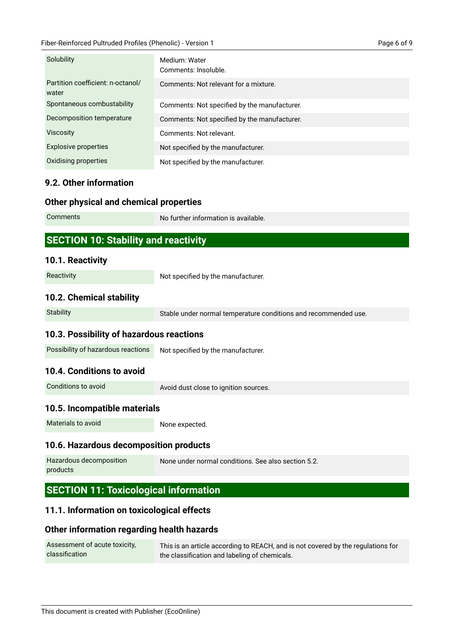#### Fiber-Reinforced Pultruded Profiles (Phenolic) - Version 1 Page 6 of 9

| Solubility                                 | Medium: Water<br>Comments: Insoluble.        |
|--------------------------------------------|----------------------------------------------|
| Partition coefficient: n-octanol/<br>water | Comments: Not relevant for a mixture.        |
| Spontaneous combustability                 | Comments: Not specified by the manufacturer. |
| Decomposition temperature                  | Comments: Not specified by the manufacturer. |
| <b>Viscosity</b>                           | Comments: Not relevant.                      |
| <b>Explosive properties</b>                | Not specified by the manufacturer.           |
| Oxidising properties                       | Not specified by the manufacturer.           |
|                                            |                                              |

# **9.2. Other information**

# **Other physical and chemical properties**

| <b>Comments</b>                             | No further information is available. |
|---------------------------------------------|--------------------------------------|
| <b>SECTION 10: Stability and reactivity</b> |                                      |

### **10.1. Reactivity**

**Reactivity** 

Not specified by the manufacturer.

# **10.2. Chemical stability**

**Stability** 

Stable under normal temperature conditions and recommended use.

# **10.3. Possibility of hazardous reactions**

Not specified by the manufacturer. Possibility of hazardous reactions

# **10.4. Conditions to avoid**

Conditions to avoid

Avoid dust close to ignition sources.

# **10.5. Incompatible materials**

Materials to avoid

None expected.

# **10.6. Hazardous decomposition products**

| Hazardous decomposition | None under normal conditions. See also section 5.2. |
|-------------------------|-----------------------------------------------------|
| products                |                                                     |

# **SECTION 11: Toxicological information**

# **11.1. Information on toxicological effects**

# **Other information regarding health hazards**

| Assessment of acute toxicity, | This is an article according to REACH, and is not covered by the regulations for |
|-------------------------------|----------------------------------------------------------------------------------|
| classification                | the classification and labeling of chemicals.                                    |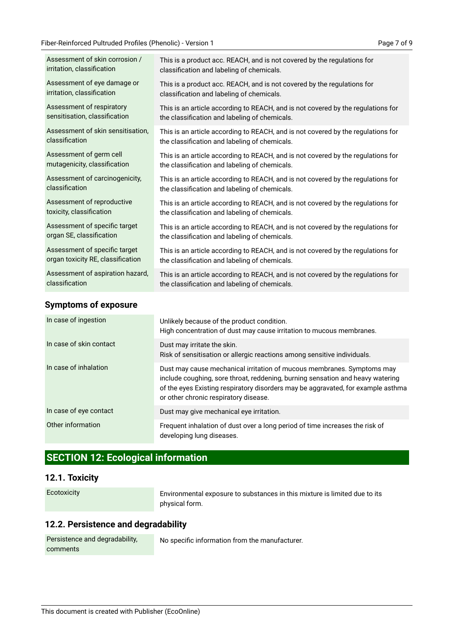| Assessment of skin corrosion /    | This is a product acc. REACH, and is not covered by the regulations for          |
|-----------------------------------|----------------------------------------------------------------------------------|
| irritation, classification        | classification and labeling of chemicals.                                        |
| Assessment of eye damage or       | This is a product acc. REACH, and is not covered by the regulations for          |
| irritation, classification        | classification and labeling of chemicals.                                        |
| Assessment of respiratory         | This is an article according to REACH, and is not covered by the regulations for |
| sensitisation, classification     | the classification and labeling of chemicals.                                    |
| Assessment of skin sensitisation, | This is an article according to REACH, and is not covered by the regulations for |
| classification                    | the classification and labeling of chemicals.                                    |
| Assessment of germ cell           | This is an article according to REACH, and is not covered by the regulations for |
| mutagenicity, classification      | the classification and labeling of chemicals.                                    |
| Assessment of carcinogenicity,    | This is an article according to REACH, and is not covered by the regulations for |
| classification                    | the classification and labeling of chemicals.                                    |
| Assessment of reproductive        | This is an article according to REACH, and is not covered by the regulations for |
| toxicity, classification          | the classification and labeling of chemicals.                                    |
| Assessment of specific target     | This is an article according to REACH, and is not covered by the regulations for |
| organ SE, classification          | the classification and labeling of chemicals.                                    |
| Assessment of specific target     | This is an article according to REACH, and is not covered by the regulations for |
| organ toxicity RE, classification | the classification and labeling of chemicals.                                    |
| Assessment of aspiration hazard,  | This is an article according to REACH, and is not covered by the regulations for |
| classification                    | the classification and labeling of chemicals.                                    |
|                                   |                                                                                  |

### **Symptoms of exposure**

| In case of ingestion    | Unlikely because of the product condition.<br>High concentration of dust may cause irritation to mucous membranes.                                                                                                                                                                    |
|-------------------------|---------------------------------------------------------------------------------------------------------------------------------------------------------------------------------------------------------------------------------------------------------------------------------------|
| In case of skin contact | Dust may irritate the skin.<br>Risk of sensitisation or allergic reactions among sensitive individuals.                                                                                                                                                                               |
| In case of inhalation   | Dust may cause mechanical irritation of mucous membranes. Symptoms may<br>include coughing, sore throat, reddening, burning sensation and heavy watering<br>of the eyes Existing respiratory disorders may be aggravated, for example asthma<br>or other chronic respiratory disease. |
| In case of eye contact  | Dust may give mechanical eye irritation.                                                                                                                                                                                                                                              |
| Other information       | Frequent inhalation of dust over a long period of time increases the risk of<br>developing lung diseases.                                                                                                                                                                             |

# **SECTION 12: Ecological information**

# **12.1. Toxicity**

Ecotoxicity

Environmental exposure to substances in this mixture is limited due to its physical form.

# **12.2. Persistence and degradability**

| Persistence and degradability, |  |
|--------------------------------|--|
| comments                       |  |

No specific information from the manufacturer.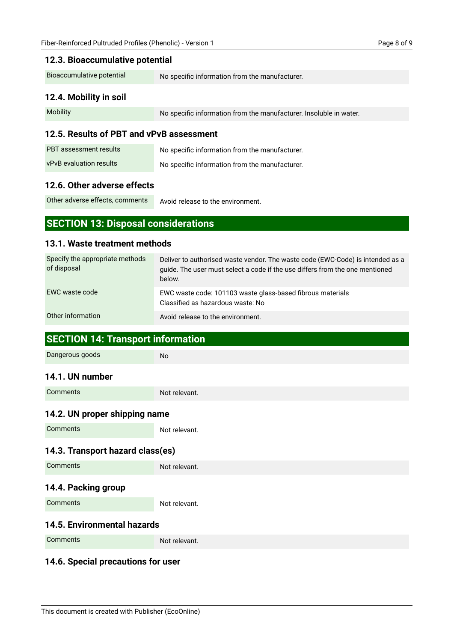| 12.3. Bioaccumulative potential                |                                                                                                                                                                          |  |
|------------------------------------------------|--------------------------------------------------------------------------------------------------------------------------------------------------------------------------|--|
| Bioaccumulative potential                      | No specific information from the manufacturer.                                                                                                                           |  |
| 12.4. Mobility in soil                         |                                                                                                                                                                          |  |
| Mobility                                       | No specific information from the manufacturer. Insoluble in water.                                                                                                       |  |
| 12.5. Results of PBT and vPvB assessment       |                                                                                                                                                                          |  |
| <b>PBT</b> assessment results                  | No specific information from the manufacturer.                                                                                                                           |  |
| vPvB evaluation results                        | No specific information from the manufacturer.                                                                                                                           |  |
| 12.6. Other adverse effects                    |                                                                                                                                                                          |  |
| Other adverse effects, comments                | Avoid release to the environment.                                                                                                                                        |  |
| <b>SECTION 13: Disposal considerations</b>     |                                                                                                                                                                          |  |
|                                                |                                                                                                                                                                          |  |
| 13.1. Waste treatment methods                  |                                                                                                                                                                          |  |
| Specify the appropriate methods<br>of disposal | Deliver to authorised waste vendor. The waste code (EWC-Code) is intended as a<br>guide. The user must select a code if the use differs from the one mentioned<br>below. |  |
| EWC waste code                                 | EWC waste code: 101103 waste glass-based fibrous materials<br>Classified as hazardous waste: No                                                                          |  |
| Other information                              | Avoid release to the environment.                                                                                                                                        |  |
| <b>SECTION 14: Transport information</b>       |                                                                                                                                                                          |  |
| Dangerous goods                                | <b>No</b>                                                                                                                                                                |  |
| 14.1. UN number                                |                                                                                                                                                                          |  |
| Comments                                       | Not relevant.                                                                                                                                                            |  |
| 14.2. UN proper shipping name                  |                                                                                                                                                                          |  |
| Comments                                       | Not relevant.                                                                                                                                                            |  |
| 14.3. Transport hazard class(es)               |                                                                                                                                                                          |  |
| Comments                                       | Not relevant.                                                                                                                                                            |  |
| 14.4. Packing group                            |                                                                                                                                                                          |  |

**Comments** 

Not relevant.

### **14.5. Environmental hazards**

Comments

Not relevant.

# **14.6. Special precautions for user**